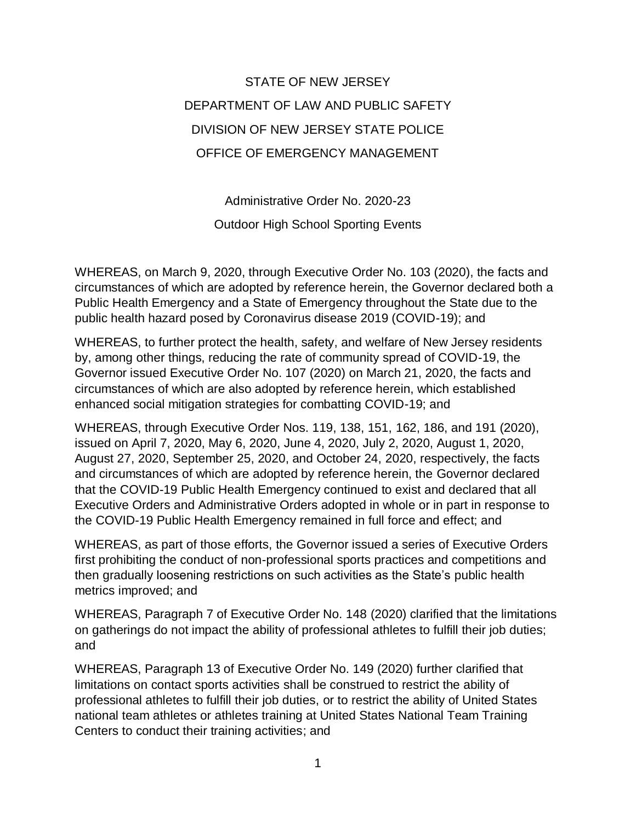## STATE OF NEW JERSEY DEPARTMENT OF LAW AND PUBLIC SAFETY DIVISION OF NEW JERSEY STATE POLICE OFFICE OF EMERGENCY MANAGEMENT

Administrative Order No. 2020-23 Outdoor High School Sporting Events

WHEREAS, on March 9, 2020, through Executive Order No. 103 (2020), the facts and circumstances of which are adopted by reference herein, the Governor declared both a Public Health Emergency and a State of Emergency throughout the State due to the public health hazard posed by Coronavirus disease 2019 (COVID-19); and

WHEREAS, to further protect the health, safety, and welfare of New Jersey residents by, among other things, reducing the rate of community spread of COVID-19, the Governor issued Executive Order No. 107 (2020) on March 21, 2020, the facts and circumstances of which are also adopted by reference herein, which established enhanced social mitigation strategies for combatting COVID-19; and

WHEREAS, through Executive Order Nos. 119, 138, 151, 162, 186, and 191 (2020), issued on April 7, 2020, May 6, 2020, June 4, 2020, July 2, 2020, August 1, 2020, August 27, 2020, September 25, 2020, and October 24, 2020, respectively, the facts and circumstances of which are adopted by reference herein, the Governor declared that the COVID-19 Public Health Emergency continued to exist and declared that all Executive Orders and Administrative Orders adopted in whole or in part in response to the COVID-19 Public Health Emergency remained in full force and effect; and

WHEREAS, as part of those efforts, the Governor issued a series of Executive Orders first prohibiting the conduct of non-professional sports practices and competitions and then gradually loosening restrictions on such activities as the State's public health metrics improved; and

WHEREAS, Paragraph 7 of Executive Order No. 148 (2020) clarified that the limitations on gatherings do not impact the ability of professional athletes to fulfill their job duties; and

WHEREAS, Paragraph 13 of Executive Order No. 149 (2020) further clarified that limitations on contact sports activities shall be construed to restrict the ability of professional athletes to fulfill their job duties, or to restrict the ability of United States national team athletes or athletes training at United States National Team Training Centers to conduct their training activities; and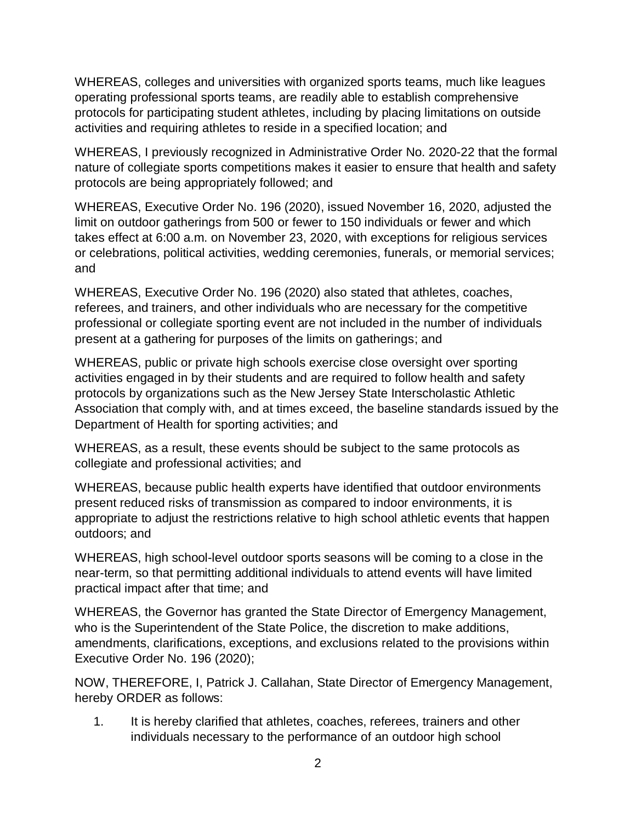WHEREAS, colleges and universities with organized sports teams, much like leagues operating professional sports teams, are readily able to establish comprehensive protocols for participating student athletes, including by placing limitations on outside activities and requiring athletes to reside in a specified location; and

WHEREAS, I previously recognized in Administrative Order No. 2020-22 that the formal nature of collegiate sports competitions makes it easier to ensure that health and safety protocols are being appropriately followed; and

WHEREAS, Executive Order No. 196 (2020), issued November 16, 2020, adjusted the limit on outdoor gatherings from 500 or fewer to 150 individuals or fewer and which takes effect at 6:00 a.m. on November 23, 2020, with exceptions for religious services or celebrations, political activities, wedding ceremonies, funerals, or memorial services; and

WHEREAS, Executive Order No. 196 (2020) also stated that athletes, coaches, referees, and trainers, and other individuals who are necessary for the competitive professional or collegiate sporting event are not included in the number of individuals present at a gathering for purposes of the limits on gatherings; and

WHEREAS, public or private high schools exercise close oversight over sporting activities engaged in by their students and are required to follow health and safety protocols by organizations such as the New Jersey State Interscholastic Athletic Association that comply with, and at times exceed, the baseline standards issued by the Department of Health for sporting activities; and

WHEREAS, as a result, these events should be subject to the same protocols as collegiate and professional activities; and

WHEREAS, because public health experts have identified that outdoor environments present reduced risks of transmission as compared to indoor environments, it is appropriate to adjust the restrictions relative to high school athletic events that happen outdoors; and

WHEREAS, high school-level outdoor sports seasons will be coming to a close in the near-term, so that permitting additional individuals to attend events will have limited practical impact after that time; and

WHEREAS, the Governor has granted the State Director of Emergency Management, who is the Superintendent of the State Police, the discretion to make additions, amendments, clarifications, exceptions, and exclusions related to the provisions within Executive Order No. 196 (2020);

NOW, THEREFORE, I, Patrick J. Callahan, State Director of Emergency Management, hereby ORDER as follows:

1. It is hereby clarified that athletes, coaches, referees, trainers and other individuals necessary to the performance of an outdoor high school